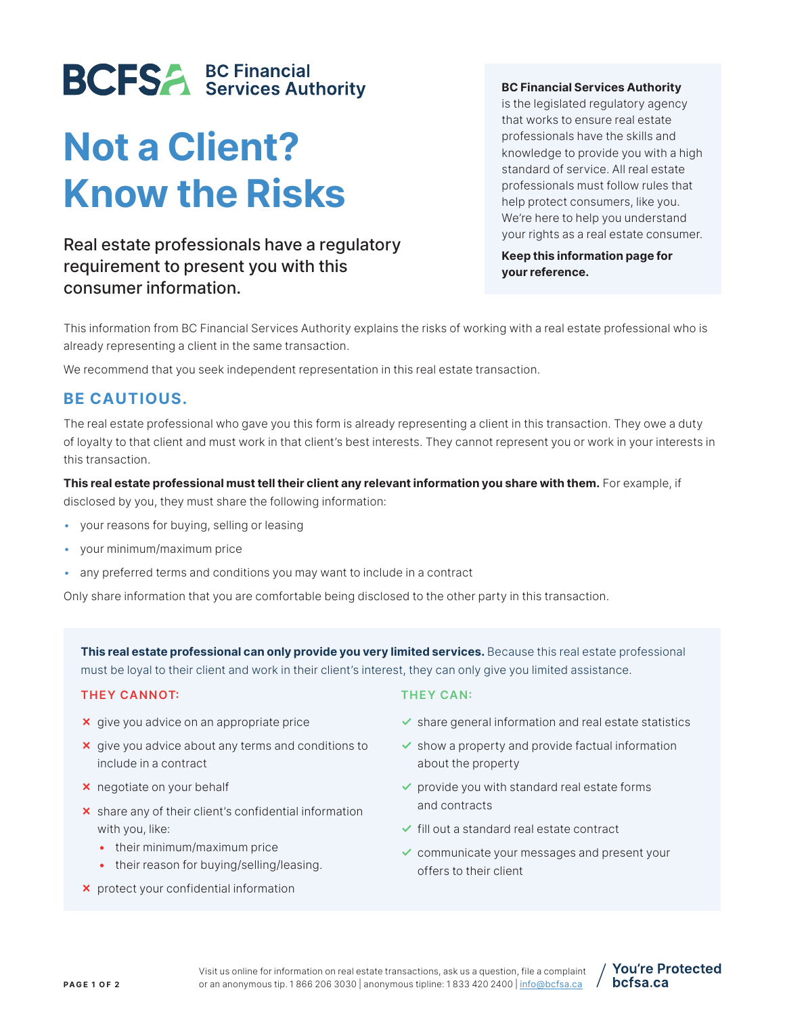# **BCFSA BC Financial**<br>Services Authority

# Not a Client? Know the Risks

## Real estate professionals have a regulatory requirement to present you with this consumer information.

#### BC Financial Services Authority

is the legislated regulatory agency that works to ensure real estate professionals have the skills and knowledge to provide you with a high standard of service. All real estate professionals must follow rules that help protect consumers, like you. We're here to help you understand your rights as a real estate consumer.

Keep this information page for your reference.

This information from BC Financial Services Authority explains the risks of working with a real estate professional who is already representing a client in the same transaction.

We recommend that you seek independent representation in this real estate transaction.

### BE CAUTIOUS.

The real estate professional who gave you this form is already representing a client in this transaction. They owe a duty of loyalty to that client and must work in that client's best interests. They cannot represent you or work in your interests in this transaction.

This real estate professional must tell their client any relevant information you share with them. For example, if disclosed by you, they must share the following information:

- your reasons for buying, selling or leasing
- your minimum/maximum price
- any preferred terms and conditions you may want to include in a contract

Only share information that you are comfortable being disclosed to the other party in this transaction.

This real estate professional can only provide you very limited services. Because this real estate professional must be loyal to their client and work in their client's interest, they can only give you limited assistance.

#### THEY CANNOT:

- ✗ give you advice on an appropriate price
- ✗ give you advice about any terms and conditions to include in a contract
- ✗ negotiate on your behalf
- ✗ share any of their client's confidential information with you, like:
	- their minimum/maximum price
	- their reason for buying/selling/leasing.
- ✗ protect your confidential information

#### THEY CAN:

- $\blacktriangleright$  share general information and real estate statistics
- $\checkmark$  show a property and provide factual information about the property
- $\triangledown$  provide you with standard real estate forms and contracts
- ✓ fill out a standard real estate contract
- ✓ communicate your messages and present your offers to their client

**You're Protected** 

bcfsa.ca